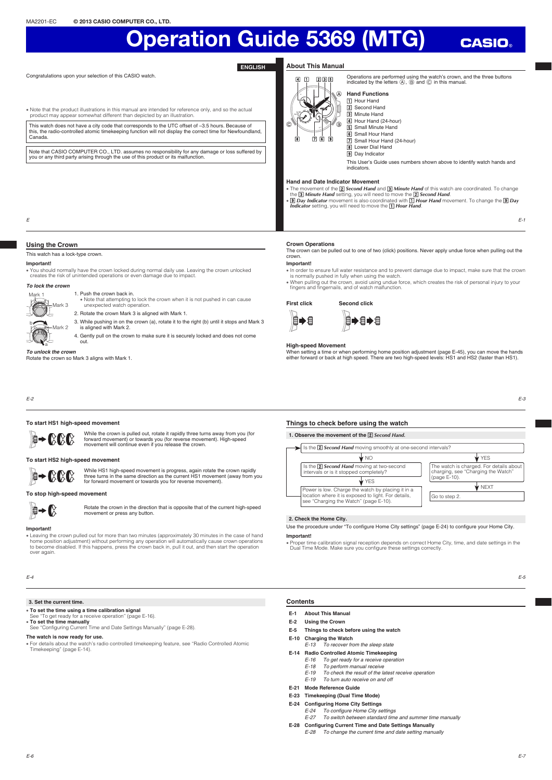Congratulations upon your selection of this CASIO watch.

#### **ENGLISH About This Manual**

 $\overline{a}$  m  $\overline{b}$  and  $\overline{b}$ Ŵ **1** Hour Hand **Z** Second Hand ⊛  $\bigcirc$ 8 769

Operations are performed using the watch's crown, and the three buttons indicated by the letters  $(\widehat{A})$ ,  $(\widehat{B})$  and  $(\widehat{C})$  in this manual. **Hand Functions**

**CASIO** 

#### x Note that the product illustrations in this manual are intended for reference only, and so the actual product may appear somewhat different than depicted by an illustration.

This watch does not have a city code that corresponds to the UTC offset of –3.5 hours. Because of this, the radio-controlled atomic timekeeping function will not display the correct time for Newfoundland, Canada.

Note that CASIO COMPUTER CO., LTD. assumes no responsibility for any damage or loss suffered by you or any third party arising through the use of this product or its malfunction.

3 Minute Hand **4** Hour Hand (24-hour) **b** Small Minute Hand **6** Small Hour Hand **7** Small Hour Hand (24-hour) **R** Lower Dial Hand  $\overline{9}$  Day Indicator

This User's Guide uses numbers shown above to identify watch hands and indicators.

#### **Hand and Date Indicator Movement**

• The movement of the **[2] Second Hand** and **[3] Minute Hand** of this watch are coordinated. To change<br>the **[3] Minute Hand** setting, you will need to move the **[2] Second Hand.**<br>• **[9] Day Indicator** smovement is also co

E

#### **Using the Crown**

This watch has a lock-type crown.

Mark 3

Mark 2

#### **Important!**

Mark 1

W

x You should normally have the crown locked during normal daily use. Leaving the crown unlocked creates the risk of unintended operations or even damage due to impact.

#### *To lock the crown* 1. Push the crown back in.

x Note that attempting to lock the crown when it is not pushed in can cause unexpected watch operation.

- 2. Rotate the crown Mark 3 is aligned with Mark 1.
- 3. While pushing in on the crown (a), rotate it to the right (b) until it stops and Mark 3 is aligned with Mark 2.
- 4. Gently pull on the crown to make sure it is securely locked and does not come out.

#### *To unlock the crown* a

Rotate the crown so Mark 3 aligns with Mark 1.

## **Crown Operations**

The crown can be pulled out to one of two (click) positions. Never apply undue force when pulling out the crown.

#### **Important!**

- x In order to ensure full water resistance and to prevent damage due to impact, make sure that the crown is normally pushed in fully when using the watch.
- x When pulling out the crown, avoid using undue force, which creates the risk of personal injury to your fi ngers and fi ngernails, and of watch malfunction.

**First click Second click** 自➡自

#### **High-speed Movement**

When setting a time or when performing home position adjustment (page E-45), you can move the hands either forward or back at high speed. There are two high-speed levels: HS1 and HS2 (faster than HS1).

E-2

#### **To start HS1 high-speed movement**

While the crown is pulled out, rotate it rapidly three turns away from you (for<br>forward movement) or towards you (for reverse movement). High-speed<br>movement will continue even if you release the crown.  $\mathbb{B}$   $\rightarrow$  (XKK)

## **To start HS2 high-speed movement**



While HS1 high-speed movement is progress, again rotate the crown rapidly<br>three turns in the same direction as the current HS1 movement (away from you<br>for forward movement or towards you for reverse movement).

### **To stop high-speed movement**



Rotate the crown in the direction that is opposite that of the current high-speed movement or press any button.

#### **Important!**

. Leaving the crown pulled out for more than two minutes (approximately 30 minutes in the case of hand home position adjustment) without performing any operation will automatically cause crown operations to become disabled. If this happens, press the crown back in, pull it out, and then start the operation over again.

E-4

#### **3. Set the current time.**

- x **To set the time using a time calibration signal** See "To get ready for a receive operation" (page E-16).
- 
- **To set the time manually**<br>See "Configuring Current Time and Date Settings Manually" (page E-28).

#### **The watch is now ready for use.**

x For details about the watch's radio controlled timekeeping feature, see "Radio Controlled Atomic Timekeeping" (page E-14).

### **Things to check before using the watch**

自→自→自



#### **2. Check the Home City.**

#### Use the procedure under "To configure Home City settings" (page E-24) to configure your Home City. **Important!**

x Proper time calibration signal reception depends on correct Home City, time, and date settings in the Dual Time Mode. Make sure you confi gure these settings correctly.

E-3

E-1

#### **Contents**

- **E-1 About This Manual**
- **E-2 Using the Crown**
- **E-5 Things to check before using the watch**
- **E-10 Charging the Watch**<br>*E-13 To recover free* 
	- Example 13 To recover from the sleep state
- **E-14 Radio Controlled Atomic Timekeeping**
	- E-16 To get ready for a receive operation
	- E-18 To perform manual receive<br>E-19 To check the result of the la To check the result of the latest receive operation
	- E-19 To turn auto receive on and off
- **E-21 Mode Reference Guide**
- **E-23 Timekeeping (Dual Time Mode)**
- **E-24 Configuring Home City Settings** 
	- E-24 To configure Home City settings
	- E-27 To switch between standard time and summer time manually
- **E-28** Configuring Current Time and Date Settings Manually
	- E-28 To change the current time and date setting manually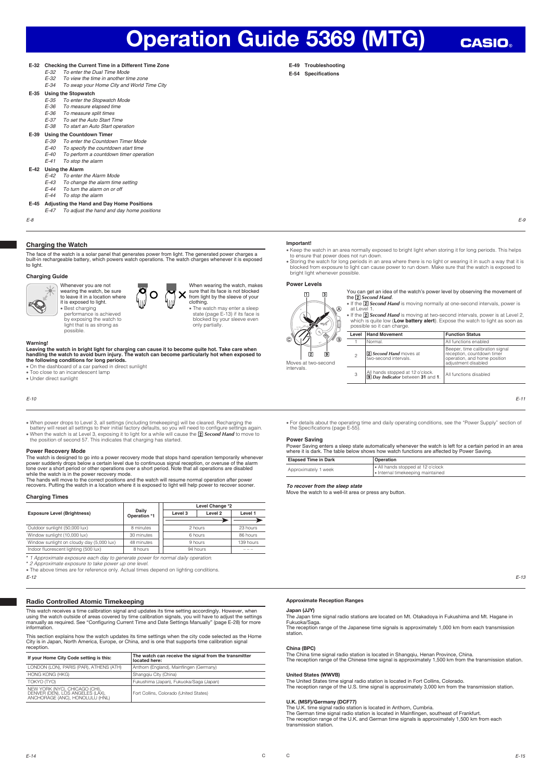**E-49 Troubleshooting** E-54 Specifications

**E-32 Checking the Current Time in a Different Time Zone**<br>E-32 To enter the Dual Time Mode

- E-32 To enter the Dual Time Mode<br>E-32 To view the time in another tin
	- $E-32$  To view the time in another time zone<br> $E-34$  To swap your Home City and World T E-34 To swap your Home City and World Time City
- **E-35 Using the Stopwatch**
	- E-35 To enter the Stopwatch Mode<br>E-36 To measure elapsed time
	- To enter the elepmatent.
	- E-36 To measure split times<br>E-37 To set the Auto Start T
	- E-37 To set the Auto Start Time<br>E-38 To start an Auto Start one To start an Auto Start operation
	-

## **E-39 Using the Countdown Timer**

- E-39 To enter the Countdown Timer Mode<br>E-40 To specify the countdown start time
- E-40 To specify the countdown start time<br>E-40 To perform a countdown timer open
- $E$ -40 To perform a countdown timer operation<br> $E$ -41 To stop the alarm To stop the alarm
- **E-42** Using the Alarm
	- E-42 To enter the Alarm Mode<br>E-43 To change the alarm time
	- $E-43$  To change the alarm time setting<br> $E-44$  To turn the alarm on or off
	- $E-44$  To turn the alarm on or off<br> $E-44$  To stop the alarm
	- To stop the alarm
- **E-45 Adjusting the Hand and Day Home Positions**
- $\overline{I}$  adjust the hand and day home positions

E-8 E-9

#### **Charging the Watch**

The face of the watch is a solar panel that generates power from light. The generated power charges a built-in rechargeable battery, which powers watch operations. The watch charges whenever it is exposed to light.

#### **Charging Guide**



## Whenever you are not wearing the watch, be sure to leave it in a location where it is exposed to light. x Best charging performance is achieved by exposing the watch to light that is as strong as



When wearing the watch, makes sure that its face is not blocked from light by the sleeve of your clothing.

x The watch may enter a sleep state (page E-13) if its face is blocked by your sleeve even only partially.

## **Warning!**

Leaving the watch in bright light for charging can cause it to become quite hot. Take care when<br>handling the watch to avoid burn injury. The watch can become particularly hot when exposed to<br>the following conditions for lo

- 
- $\bullet$  Too close to an incandescent lamp x Under direct sunlight

possible.

E-10

- 
- When power drops to Level 3, all settings (including timekeeping) will be cleared. Recharging the battery will reset all settings to their initial factory defaults, so you will need to configure settings again. When t

#### **Power Recovery Mode**

The watch is designed to go into a power recovery mode that stops hand operation temporarily whenever<br>power suddenly drops below a certain level due to continuous signal reception, or overuse of the alarm<br>tone over a short while the watch is in the nower recovery mode.

The hands will move to the correct positions and the watch will resume normal operation after power recovers. Putting the watch in a location where it is exposed to light will help power to recover sooner.

#### **Charging Times**

|                                           |                       |  | Level Change *2 |                    |           |
|-------------------------------------------|-----------------------|--|-----------------|--------------------|-----------|
| <b>Exposure Level (Brightness)</b>        | Daily<br>Operation *1 |  | Level 3         | Level <sub>2</sub> | Level 1   |
|                                           |                       |  |                 |                    |           |
| Outdoor sunlight (50,000 lux)             | 8 minutes             |  | 2 hours         |                    | 23 hours  |
| Window sunlight (10,000 lux)              | 30 minutes            |  | 6 hours         |                    | 86 hours  |
| Window sunlight on cloudy day (5,000 lux) | 48 minutes            |  | 9 hours         |                    | 139 hours |
| Indoor fluorescent lighting (500 lux)     | 8 hours               |  | 94 hours        |                    | ---       |

E-12 \* 1 Approximate exposure each day to generate power for normal daily operation.<br>\* 2 Approximate exposure to take power up one level.<br>• The above times are for reference only. Actual times depend on lighting conditions.

## Radio Controlled Atomic Timekeeping

This watch receives a time calibration signal and updates its time setting accordingly. However, when using the watch outside of areas covered by time calibration signals, you will have to adjust the settings manually as required. See "Configuring Current Time and Date Settings Manually" (page E-28) for more information.

This section explains how the watch updates its time settings when the city code selected as the Home City is in Japan, North America, Europe, or China, and is one that supports time calibration signal reception.

| If your Home City Code setting is this:                                                               | The watch can receive the signal from the transmitter<br>located here: |
|-------------------------------------------------------------------------------------------------------|------------------------------------------------------------------------|
| LONDON (LON), PARIS (PAR), ATHENS (ATH)                                                               | Anthorn (England), Mainflingen (Germany)                               |
| HONG KONG (HKG)                                                                                       | Shangqiu City (China)                                                  |
| TOKYO (TYO)                                                                                           | Fukushima (Japan), Fukuoka/Saga (Japan)                                |
| NEW YORK (NYC), CHICAGO (CHI),<br>DENVER (DEN), LOS ANGELES (LÁX),<br>ANCHORAGE (ANC), HONOLULU (HNL) | Fort Collins, Colorado (United States)                                 |

#### **Important!**

• Keep the watch in an area normally exposed to bright light when storing it for long periods. This helps to ensure that power does not run down.

© Storing the watch for long periods in an area where there is no light or wearing it in such a way that it is<br>blocked from exposure to light can cause power to run down. Make sure that the watch is exposed to<br>bright light

#### **Power Levels**

 $\Box$   $\Box$ 

 $\overline{A}$ 

You can get an idea of the watch's power level by observing the movement of the **2** Second Hand.

**CASIO** 

If the **IZ Second Hand** is moving normally at one-second intervals, power is<br>at Level 1.<br>If the **IZ Second Hand** is moving at two-second intervals, power is at Level 2,<br>which is quite low (L**ow battery alert)**. Expose the

|                                      |       | possible so it can charge.                                                   |                                                                                                                      |
|--------------------------------------|-------|------------------------------------------------------------------------------|----------------------------------------------------------------------------------------------------------------------|
| $\langle \hat{\mathbb{Q}}_0 \rangle$ | Level | <b>Hand Movement</b>                                                         | <b>Function Status</b>                                                                                               |
| ®.<br>o5                             |       | Normal.                                                                      | All functions enabled                                                                                                |
| 9<br>second                          | 2     | <b>2</b> Second Hand moves at<br>two-second intervals.                       | Beeper, time calibration signal<br>reception, countdown timer<br>operation, and home position<br>adjustment disabled |
|                                      | з     | All hands stopped at 12 o'clock.<br><b>9 Day Indicator</b> between 31 and 1. | All functions disabled                                                                                               |

E-11

x For details about the operating time and daily operating conditions, see the "Power Supply" section of the Specifications (page E-55)

#### **Power Saving**

Moves at two intervals.

@

Power Saving enters a sleep state automatically whenever the watch is left for a certain period in an area where it is dark. The table below shows how watch functions are affected by Power Saving.

| <b>Elapsed Time in Dark</b> | Operation                                                              |
|-----------------------------|------------------------------------------------------------------------|
| Approximately 1 week        | All hands stopped at 12 o'clock<br>I • Internal timekeeping maintained |

#### *To recover from the sleep state*

Move the watch to a well-lit area or press any button.

## E-13

#### Approximate Reception Ranges

#### Japan (JJY)

The Japan time signal radio stations are located on Mt. Otakadoya in Fukushima and Mt. Hagane in Fukuoka/Saga. The reception range of the Japanese time signals is approximately 1,000 km from each transmission station.

#### China (BPC)

The China time signal radio station is located in Shangqiu, Henan Province, China. The reception range of the Chinese time signal is approximately 1,500 km from the transmission station.

## United States (WWVB)

The United States time signal radio station is located in Fort Collins, Colorado. The reception range of the U.S. time signal is approximately 3,000 km from the transmission station.

#### U.K. (MSF)/Germany (DCF77)

The U.K. time signal radio station is located in Anthorn, Cumbria. The German time signal radio station is located in Mainflingen, southeast of Frankfurt. The reception range of the U.K. and German time signals is approximately 1,500 km from each transmission station.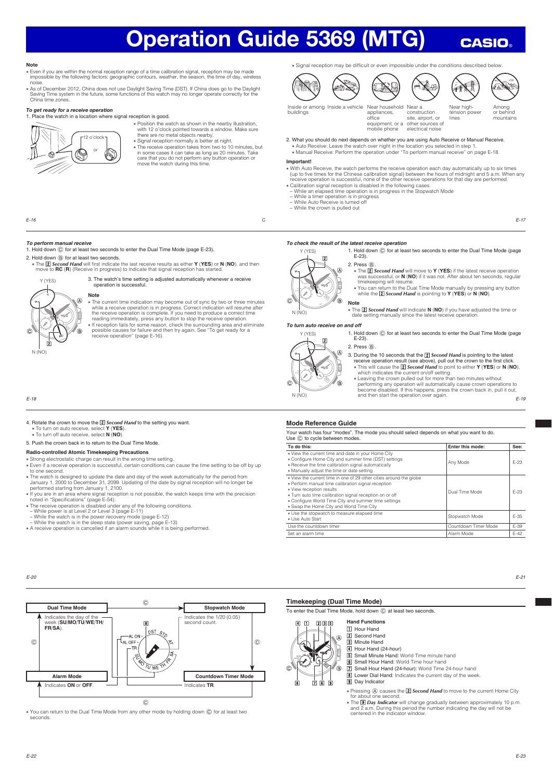#### Note

- x Even if you are within the normal reception range of a time calibration signal, reception may be made impossible by the following factors: geographic contours, weather, the season, the time of day, wireless
- noise.<br>As of De » x As of December 2012, China does not use Daylight Saving Time (DST). If China does go to the Daylight Saving Time system in the future, some functions of this watch may no longer operate correctly for the China time zones.

#### To get ready for a receive operation

1. Place the watch in a location where signal reception is good.



- x Position the watch as shown in the nearby illustration, with 12 o'clock pointed towards a window. Make sure there are no metal objects nearby.
- Signal reception normally is better at night x The receive operation takes from two to 10 minutes, but in some cases it can take as long as 20 minutes. Take care that you do not perform any button operation or move the watch during this time.

• Signal reception may be difficult or even impossible under the conditions described below

appliances, office







**CASIO** 

Inside or among Inside a vehicle buildings Inside a vehicle Near household Near a

equipment, or a equiposes.<br><mark>mobile phor</mark> site, airport, or other sources of electrical nois

construction

Near hightension power lines

x The x *Second Hand* will move to **Y** (**YES**) if the latest receive operation

- Among or behind mountains
- 2. What you should do next depends on whether you are using Auto Receive or Manual Receive. \* Auto Receive: Leave the watch over night in the location you selected in step 1. x Manual Receive: Perform the operation under "To perform manual receive" on page E-18.

## **Important!**

- With Auto Receive, the watch performs the receive operation each day automatically up to six times<br>(up to five times for the Chinese calibration signal) between the hours of midnight and 5 a.m. When any<br>receive operation i
- x Calibration signal reception is disabled in the following cases.
- − While an elapsed time operation is in progress in the Stopwatch Mode<br>− While a timer operation is in progress<br>− While Auto Receive is turned off<br>− While the crown is pulled out

2. Press  $\circledB$ .<br>• The **2** Second Hand **v** 

*To check the result of the latest receive operation*

 $E-23$ 

**Note**

E-17

 *To perform manual receive*

1. Hold down C for at least two seconds to enter the Dual Time Mode (page E-23).

2. Hold down  $\circledB$  for at least two seconds.

• The  $\Xi$  Second Hand will first indicate the last receive results as either Y (YES) or N (NO), and then move to RC (R) (Receive in progress) to indicate that signal reception has started.

 $E$ -16 C

3. The watch's time setting is adjusted automatically whenever a receive operation is successful.



#### **Note**

• The current time indication may become out of sync by two or three minutes while a receive operation is in progress. Correct indication will resume after<br>the receive operation is complete. If you need to produce a correct time<br>reading immediately, press any button to stop the receive operation.<br>•

## E-18

#### 4. Rotate the crown to move the **2** Second Hand to the setting you want x To turn on auto receive, select **Y** (**YES**).

x To turn off auto receive, select **N** (**NO**).

5. Push the crown back in to return to the Dual Time Mode.

## **Radio-controlled Atomic Timekeeping Precautions**

- x Strong electrostatic charge can result in the wrong time setting. x Even if a receive operation is successful, certain conditions can cause the time setting to be off by up to one second.
- . The watch is designed to update the date and day of the week automatically for the period from
- January 1, 2000 to December 31, 2099. Updating of the date by signal reception will no longer be<br>performed starting from January 1, 2100.<br>• If you are in an area where signal reception is not possible, the watch keeps time
- 
- The receive operation is disabled under any of the following conditions.<br>- While power is at Level 2 or Level 3 (page E-11)<br>- While the watch is in the power recovery mode (page E-12)<br>- While the watch is in the sleep s
- 
- A receive operation is cancelled if an alarm sounds while it is being performed.

 $\overline{2}$  $\overline{\circ}$ È Ġ,

Y (YES)

**FILM** The **Z Second Hand** will indicate **N** (**NO**) if you have adjusted the time or date setting manually since the latest receive operation.

1. Hold down  $\odot$  for at least two seconds to enter the Dual Time Mode (page

was successful, or **N** (**NO**) if it was not. After about ten seconds, regular timekeeping will resume.<br>• You can return to the Dual Time Mode manually by pressing any button<br>• while the **i2l** *Second Hand* is pointing to **Y** (**YES**) or **N (NO**).

#### *To turn auto receive on and off*

1. Hold down  $\odot$  for at least two seconds to enter the Dual Time Mode (page  $E-23$ 



(R



Y (YES)

 $\alpha$ 

 $N$   $(N)$ 

- 3. During the 10 seconds that the  $[2]$  Second Hand is pointing to the latest exerge operation result (see above), pull out the crown to the first click.<br>receive operation result (see above), pull out the crown to the fir
- which indicates the current on/off setting.
- E-19 • Leaving the crown pulled out for more than two minutes without<br>performing any operation will automatically cause crown operations to<br>become disabled. If this happens, press the crown back in, pull it out,<br>and then start

#### **Mode Reference Guide**

Your watch has four "modes". The mode you should select depends on what you want to do. Use  $\copyright$  to cycle between modes

| To do this:                                                                                                                                                                                                                                                                                                         | Enter this mode:     | See:   |
|---------------------------------------------------------------------------------------------------------------------------------------------------------------------------------------------------------------------------------------------------------------------------------------------------------------------|----------------------|--------|
| . View the current time and date in your Home City<br>. Configure Home City and summer time (DST) settings<br>. Receive the time calibration signal automatically<br>. Manually adjust the time or date setting                                                                                                     | Any Mode             | F-23   |
| . View the current time in one of 29 other cities around the globe<br>· Perform manual time calibration signal reception<br>· View reception results<br>. Turn auto time calibration signal reception on or off<br>. Configure World Time City and summer time settings<br>. Swap the Home City and World Time City | Dual Time Mode       | $F-23$ |
| . Use the stopwatch to measure elapsed time<br>· Use Auto Start                                                                                                                                                                                                                                                     | Stopwatch Mode       | F-35   |
| Use the countdown timer                                                                                                                                                                                                                                                                                             | Countdown Timer Mode | F-39   |
| Set an alarm time                                                                                                                                                                                                                                                                                                   | Alarm Mode           | $F-42$ |

E-20



• You can return to the Dual Time Mode from any other mode by holding down © for at least two<br>seconds.

#### **Timekeeping (Dual Time Mode)**

To enter the Dual Time Mode, hold down  $\copyright$  at least two seconds.

- **Hand Functions**  $\overline{a}$   $\overline{n}$   $\overline{a}$   $\overline{a}$   $\overline{s}$ **1** Hour Hand 2 Second Hand  $\widehat{\Delta}$ 3 Minute Hand ⊛ .<br>B <u>ां को पंग</u>
	- 4 Hour Hand (24-hour)<br>5 Small Minute Hand: \ b Small Minute Hand: World Time minute hand
	-
	- **6** Small Hour Hand: World Time hour hand<br>**7** Small Hour Hand (24-hour): World Time 24-hour hand
	- **8** Lower Dial Hand: Indicates the current day of the week.
	- **9** Day Indicator
	-
	- Pressing  $\circledA$  causes the **2 Second Hand** to move to the current Home City
	- for about one second.<br>• The *9 Day Indicator* will change gradually between approximately 10 p.m. and 2 a.m. During this period the number indicating the day will not be centered in the indicator window.

E-21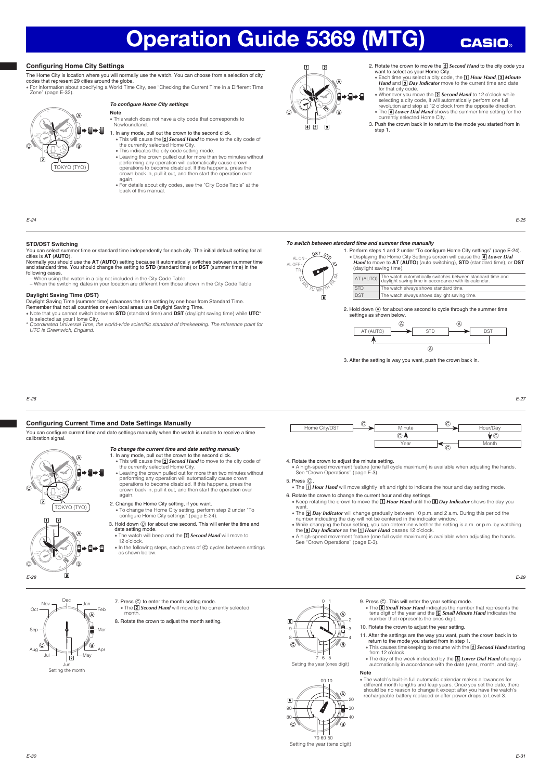### **Configuring Home City Settings**

À É ▶目→目

,<br>(В

×

TOKYO (TYO)

The Home City is location where you will normally use the watch. You can choose from a selection of city codes that represent 29 cities around the globe.

x For information about specifying a World Time City, see "Checking the Current Time in a Different Time Zone" (page E-32)

## *To confi gure Home City settings*

- **Note** • This watch does not have a city code that corresponds to Newfoundland.
- 1. In any mode, pull out the crown to the second click.
	- This will cause the **2 Second Hand** to move to the city code of the currently selected Home City.<br>This indicates the city code setting mode.
	-
	- Leaving the crown pulled out for more than two minutes without<br>performing any operation will automatically cause crown<br>operations to become disabled. If this happens, press the<br>crown back in, pull it out, and then start
- again. x For details about city codes, see the "City Code Table" at the back of this manual.



2. Rotate the crown to move the **2** Second Hand to the city code you

**CASIO** 

- want to select as your Home City.<br>• Each time you select a city code, the **1 Hour Hand, 3 Minute**<br>*Hand* **and <b>9** Day Indicator move to the current time and date for that city code
- **whenever you move the <b>z** *Second Hand* to 12 o'clock while selecting a city code, it will automatically perform one full revolution and stop at 12 o'clock from the opposite direction. • The *B* Lower Dial Hand shows the summer time setting for the currently selected Home City.
- 3. Push the crown back in to return to the mode you started from in step 1.

E-25

#### **STD/DST Switching**

E-24

@

You can select summer time or standard time independently for each city. The initial default setting for all cities is **AT** (**AUTO**).

Normally you should use the **AT (AUTO**) setting because it automatically switches between summer time<br>and standard time. You should change the setting to **STD** (standard time) or **DST** (summer time) in the<br>following cases. − When using the watch in a city not included in the City Code Table

− When the switching dates in your location are different from those shown in the City Code Table

#### **Daylight Saving Time (DST)**

- Daylight Saving Time (summer time) advances the time setting by one hour from Standard Time. Remember that not all countries or even local areas use Daylight Saving Time.
- 
- Note that you cannot switch between **STD** (standard time) and **DST** (daylight saving time) while **UTC\***<br>is selected as your Home City.<br>\* *Coordinated Universal Time, the world-wide scientific standard of timekeeping. The*

#### *To switch between standard time and summer time manually*



1. Perform steps 1 and 2 under "To configure Home City settings" (page E-24). x Displaying the Home City Settings screen will cause the , *Lower Dial Hand* to move to **AT** (**AUTO**) (auto switching), **STD** (standard time), or **DST** (daylight saving time). AT (AUTO) The watch automatically switches between standard time and<br>daylight saving time in accordance with its calendar. STD The watch always shows standard time.

DST The watch always shows daylight saying

2. Hold down  $\overline{A}$  for about one second to cycle through the summer time settings as shown below.



3. After the setting is way you want, push the crown back in.

E-26

#### **Configuring Current Time and Date Settings Manually**

You can configure current time and date settings manually when the watch is unable to receive a time calibration signal

#### *To change the current time and date setting manually* 1. In any mode, pull out the crown to the second click. • This will cause the **2** Second Hand to move to the city code of

- the currently selected Home City.<br>
 Leaving the crown pulled out for more than two minutes without<br>
performing any operation will automatically cause crown<br>
operations to become disabled. If this happens, press the crown back in, pull it out, and then start the operation over
- again. 2. Change the Home City setting, if you want.<br>• To change the Home City setting, perform step 2 under "To<br>configure Home City settings" (page E-24).
- 3. Hold down  $\odot$  for about one second. This will enter the time and date setting mode.<br>• The watch will beep and the **2 Second Hand** will move to
- 12 o'clock.
- x In the following steps, each press of C cycles between settings as shown bel



- 4. Rotate the crown to adjust the minute setting.<br>• A high-speed movement feature (one full cycle maximum) is available when adjusting the hands.<br>See "Crown Operations" (page E-3).
- 5. Press C.
- **The FIT Hour Hand** will move slightly left and right to indicate the hour and day setting mode.
- 6. Rotate the crown to change the current hour and day settings.<br>• Keep rotating the crown to move the **1 Hour Hand** until the **9 Day Indicator** shows the day you
- 
- want.<br>
 The Ig Day Indicator will change gradually between 10 p.m. and 2 a.m. During this period the<br>
 The Ig Day Indicating the day will not be centered in the indicator window.<br>
 While changing the hour setting y, yo

9. Press  $\circled{c}$ . This will enter the year setting mode.

10. Rotate the crown to adjust the year setting

automatically in accordance with the d

**The is Small Hour Hand** indicates the number that represents the tens digit of the year and the **SS** *small Minute Hand* indicates the number that represents the ones digit.

11. After the settings are the way you want, push the crown back in to<br>return to the mode you started from in step 1.<br>
<br>
This causes time keeping to resume with the **2** Second Hand starting<br>from 12 o'clock. x The day of the week indicated by the **[8] Lower Dial Hand** changes<br>automatically in accordance with the date (vear, month, and day)

x The watch's built-in full automatic calendar makes allowances for different month lengths and leap years. Once you set the date, there should be no reason to change it except after you have the watch's rechargeable battery replaced or after power drops to Level 3.

x A high-speed movement feature (one full cycle maximum) is available when adjusting the hands. See "Crown Operations" (page E-3).



E-27



×

旨 ⇒自⇒自

Ġ.

⊯⇒自⇒自

TOKYO (TYO)

⊛ ज़ि

,<br>(В

IŻI

 $\Pi$   $\Omega$ 

Setting the month

7. Press  $\textcircled{c}$  to enter the month setting mode.

8. Rotate the crown to adjust the month setting.

The **Z Second Hand** will move to the currently selected month





7 6 5<br>Setting the year (ones digit)



70 60 50<br>Setting the year (tens digit)

 $\overline{\mathcal{L}}$ (

**Note**

E-30

E-28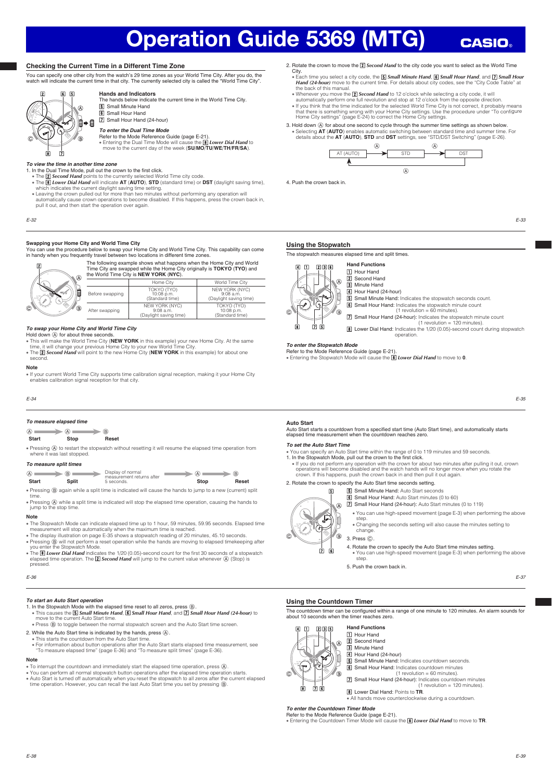### **Checking the Current Time in a Different Time Zone**

You can specify one other city from the watch's 29 time zones as your World Time City. After you do, the watch will indicate the current time in that city. The currently selected city is called the "World Time City".



**Hands and Indicators** The hands below indicate the current time in the World Time City.

**5** Small Minute Hand **6** Small Hour Hand

**7** Small Hour Hand (24-hour)

*To enter the Dual Time Mode*

Refer to the Mode Reference Guide (page E-21). x Entering the Dual Time Mode will cause the , *Lower Dial Hand* to move to the current day of the week (**SU**/**MO**/**TU**/**WE**/**TH**/**FR**/**SA**).

#### *To view the time in another time zone*

1. In the Dual Time Mode, pull out the crown to the first click.

- The *[2] Second Hand* points to the currently selected World Time city code.<br>● The *[8] Lower Dial Hand* will indicate AT (AUTO), STD (standard time) or DST (daylight saving time), which indicates the current daylight saving time setting.
- Leaving the crown pulled out for more than two minutes without performing any operation will<br>automatically cause crown operations to become disabled. If this happens, press the crown back in,<br>pull it out, and then start

E-32

#### **Swapping your Home City and World Time City**

You can use the procedure below to swap your Home City and World Time City. This capability can come in handy when you frequently travel between two locations in different time zones.



The following example shows what happens when the Home City and World<br>Time City are swapped while the Home City originally is **TOKYO** (TYO) and City originally is **TOKYO** (TYO) and the World Time City is **NEW YORK** (**NYC**). Home City World Time City TOKYO (TYO)

| Ê | Before swapping | TOKYO (TYO)<br>10:08 p.m.<br>(Standard time)            | NEW YORK (NYC)<br>$9:08$ a.m.<br>(Daylight saving time) |
|---|-----------------|---------------------------------------------------------|---------------------------------------------------------|
| ◉ | After swapping  | NEW YORK (NYC)<br>$9:08$ a.m.<br>(Davlight saving time) | TOKYO (TYO)<br>10:08 p.m.<br>(Standard time)            |

### *To swap your Home City and World Time City*

Hold down  $\circledA$  for about three seconds

- This will make the World Time City (**NEW YORK** in this example) your new Home City. At the same<br>time, it will change your previous Home City to your new World Time City.<br>• The [**Z] Seco***nd Hand* will point to the new
- se

#### **Note**

x If your current World Time City supports time calibration signal reception, making it your Home City enables calibration signal reception for that city.

#### E-34

#### *To measure elapsed time*

## **Start Stop Reset**

• Pressing @ to restart the stopwatch without resetting it will resume the elapsed time operation from where it was last stopped. where it was last stopped.

#### *To measure split times*

| @<br><b>Start</b> | (B)<br>Split | Display of normal<br>measurement returns after<br>5 seconds.                                              | (A)<br>Stop | (B)<br>Reset |
|-------------------|--------------|-----------------------------------------------------------------------------------------------------------|-------------|--------------|
|                   |              | • Pressing (B) again while a split time is indicated will cause the hands to jump to a new (current) spli |             |              |

time. x Pressing A while a split time is indicated will stop the elapsed time operation, causing the hands to jump to the stop time.

#### **Note**

- 
- The Stopwatch Mode can indicate elapsed time up to 1 hour, 59 minutes, 59.95 seconds. Elapsed time<br>• measurement will stop automatically when the maximum time is reached.<br>• The display illustration on page E-35 shows a s
- The *[B] Lower Dial Hand* indicates the 1/20 (0.05)-second count for the first 30 seconds of a stopwatch elapsed time operation. The [Z] Seco*nd Hand will* jump to the current value whenever  $\overline{A}$  (Stop) is pressed.

E-36

#### *To start an Auto Start operation*

- 1. In the Stopwatch Mode with the elapsed time reset to all zeros, press (B) • This causes the **[5] Small Minute Hand, [6] Small Hour Hand,** and **[7] Small Hour Hand (24-hour)** to<br>- move to the current Auto Start time.<br>• Press (@) to toggle between the normal stopwatch screen and the Auto Start ti
- 
- 
- 
- 2. While the Auto Start time is indicated by the hands, press @.<br>• This starts the countdown from the Auto Start time.<br>• For information about button operations after the Auto Start starts elapsed time measurement, see<br>• T

#### **Note**

- x To interrupt the countdown and immediately start the elapsed time operation, press A.
- ∙ You can perform all normal stopwatch button operations after the elapsed time operation starts.<br>• Auto Start is turned off automatically when you reset the stopwatch to all zeros after the current elapsed<br>⊂time operatio

### 2. Rotate the crown to move the **2** Second Hand to the city code you want to select as the World Time

- City. • Each time you select a city code, the **5** *Small Minute Hand*, **6** *Small Hour Hand*, and **7** *Small Hour* Hand (24-hour) move to the current time. For details about city codes, see the "City Code Table" at<br>the back of this manual.<br>• Whenever you move the **[2] Second Hand** to 12 o'clock while selecting a city code, it will
- 
- automatically perform one full revolution and stop at 12 o'clock from the opposite direction.
- livou think that the time indicated for the selected World Time City is not correct, it probably means<br>that there is something wrong with your Home City settings. Use the procedure under "To configure<br>Home City settings" (
- 3. Hold down  $\textcircled{A}$  for about one second to cycle through the summer time settings as shown below. x Selecting **AT** (**AUTO**) enables automatic switching between standard time and summer time. For details about the **AT** (**AUTO**), **STD** and **DST** settings, see "STD/DST Switching" (page E-26).



4. Push the crown back in.

E-33

**CASIO** 

#### **Using the Stopwatch**

The stopwatch measures elapsed time and split times.



2 Second Hand RI Minute Hand  $\overline{41}$  Hour Hand (24-hour)

**b** Small Minute Hand: Indicates the stopwatch seconds count.

- 6 Small Hour Hand: Indicates the stopwatch minute count
- $(1$  revolution = 60 minutes). **7** Small Hour Hand (24-hour): Indicates the stopwatch minute count (1 revolution = 120 minutes).
- **8** Lower Dial Hand: Indicates the 1/20 (0.05)-second count during stopwatch operation.

## *To enter the Stopwatch Mode*

Refer to the Mode Reference Guide (page E-21). **Entering the Stopwatch Mode will cause the 8 Lower Dial Hand** to move to **0**.



Auto Start starts a countdown from a specified start time (Auto Start time), and automatically starts elapsed time measurement when the countdown reaches zero.

#### *To set the Auto Start Time*

- 
- You can specify an Auto Start time within the range of 0 to 119 minutes and 59 seconds.<br>1. In the Stopwatch Mode, pull out the crown to the first click.<br>● If you do not perform any operation with the crown for about two operations will become disabled and the watch hands will no longer move when you rotate the crown. If this happens, push the crown back in and then pull it out again.
- 2. Rotate the crown to specify the Auto Start time seconds setting.
	- **b** Small Minute Hand: Auto Start seconds  $\overline{5}$ 
		- **6** Small Hour Hand: Auto Start minutes (0 to 60)
			-
			- **7** Small Hour Hand (24-hour): Auto Start minutes (0 to 119)
			- x You can use high-speed movement (page E-3) when performing the above step.

x Changing the seconds setting will also cause the minutes setting to change. 3. Press C.

- 4. Rotate the crown to specify the Auto Start time minutes setting.
- x You can use high-speed movement (page E-3) when performing the above step.
- 5. Push the crown back in.

E-37

#### **Using the Countdown Timer**

5 6

The countdown timer can be configured within a range of one minute to 120 minutes. An alarm sounds for about 10 seconds when the timer reaches zero.



**Z** Second Hand 3 Minute Hand  $\overline{4}$  Hour Hand (24-hour) **5** Small Minute Hand: Indicates countdown seconds. **6** Small Hour Hand: Indicates countdown minutes<br>(1 revolution = 60 minutes). **7** Small Hour Hand (24-hour): Indicates countdown minutes (1 revolution = 120 minutes). **8** Lower Dial Hand: Points to TR.

<del>.</del><br>⊾All hands move counterclockwise during a countdown

#### *To enter the Countdown Timer Mode*

Refer to the Mode Reference Guide (page E-21). x Entering the Countdown Timer Mode will cause the , *Lower Dial Hand* to move to **TR**.

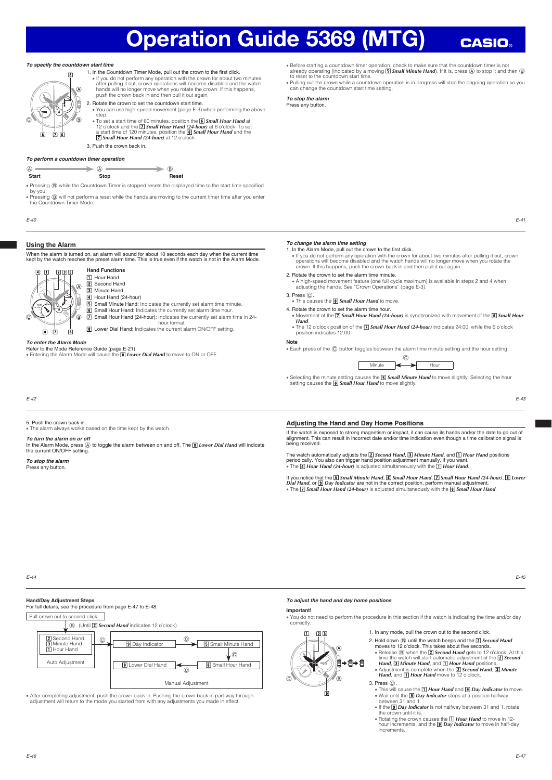#### *To specify the countdown start time*

*To perform a countdown timer operation*



1. In the Countdown Timer Mode, pull out the crown to the first click.<br>• If you do not perform any operation with the crown for about two minutes<br>after pulling it out, crown operations will become disabled and the watch<br>ha push the crown back in and then pull it out again. 2. Rotate the crown to set the countdown start time.



• Before starting a countdown timer operation, check to make sure that the countdown timer is not<br>already operating (indicated by a moving **[5] Small Minute Hand**). If it is, press @ to stop it and then @<br>to reset to the

x Pulling out the crown while a countdown operation is in progress will stop the ongoing operation so you can change the countdown start time setting.

*To stop the alarm* Press any button.

E-41

**CASIO** 

E-43

#### **Using the Alarm**

E-40

by you.

When the alarm is turned on, an alarm will sound for about 10 seconds each day when the current time<br>kept by the watch reaches the preset alarm time. This is true even if the watch is not in the Alarm Mode kept by the watch reaches the preset alarm time. This is true even if the watch is not in the Alarm Mode. We watch reaches the preset alarm time. This is true even if the watch is not in the Alarm Mode.

• Pressing  $@$  while the Countdown Timer is stopped resets the displayed time to the start time specified

x Pressing B will not perform a reset while the hands are moving to the current timer time after you enter the Countdown Timer Mode.



#### 11 Hour Hand **Z** Second Hand 3 Minute Hand

3. Push the crown back in.

 $\begin{array}{c|c|c|c|c|c} \hline \text{A} & \text{B} & \text{B} & \text{B} \\ \hline \end{array}$ Start **Stop Stop Reset** 

**Hand Functions**

**4** Hour Hand (24-hour) **b** Small Minute Hand: Indicates the currently set alarm time minute. **6** Small Hour Hand: Indicates the currently set alarm time hour.

**7** Small Hour Hand (24-hour): Indicates the currently set alarm time in 24-<br>hour format.

**8** Lower Dial Hand: Indicates the current alarm ON/OFF setting.

### *To enter the Alarm Mode*

Refer to the Mode Reference Guide (page E-21). **Entering the Alarm Mode will cause the 8 Lower Dial Hand** to move to ON or OFF

**To change the alarm time setting**<br>1. In the Alarm Mode, pull out the crown to the first click.

- lfyou do not perform any operation with the crown for about two minutes after pulling it out, crown ( crown )<br>operations will become disabled and the watch hands will no longer move when you rotate the<br>crown. If this happe
- 2. Rotate the crown to set the alarm time minute. x A high-speed movement feature (one full cycle maximum) is available in steps 2 and 4 when adjusting the hands. See "Crown Operations" (page E-3).
- 
- **3. Press ©.**<br>This causes the **6 Small Hour Hand** to move.
- 4. Rotate the crown to set the alarm time hour. **Example Movement of the**  $\overline{Z}$  **Small Hour Hand (24-hour)** is synchronized with movement of the **6 Small Hour** *Hand*.
- *Hand.*<br>● The 12 o'clock position of the *⊡ Small Hour Hand (24-hour)* indicates 24:00, while the 6 o'clock<br>position indicates 12:00.

#### **Note**

......<br>• Each press of the © button toggles between the alarm time minute setting and the hour setting.

 $\odot$ Minute  $\leftarrow$  Hour

• Selecting the minute setting causes the **5 Small Minute Hand** to move slightly. Selecting the hour setting causes the **6 Small Hour Hand** to move slightly.

E-42

## 5. Push the crown back in.

... The alarm always works based on the time kept by the watch.

#### *To turn the alarm on or off*

In the Alarm Mode, press ④ to toggle the alarm between on and off. The *图 Lower Dial Hand* will indicate<br>the current ON/OFF setting.

## *To stop the alarm*

Press any button.

#### **Adjusting the Hand and Day Home Positions**

If the watch is exposed to strong magnetism or impact, it can cause its hands and/or the date to go out of<br>alignment. This can result in incorrect date and/or time indication even though a time calibration signal is<br>being

The watch automatically adjusts the **2** Second Hand, **3** Minute Hand, and **1** Hour Hand positions periodically. You also can trigger hand position adjustment manually, if you want.<br>• The *[4] Hour Hand (24-hour)* is adjusted simultaneously with the [7] *Hour Hand*.

if you notice that the **[5]** *Small Minute Hand,* **[6]** *Small Hour Hand, [***7]** *Small Hour Hand (24-hour), [***8]** *Lower***<br>Di***al Hand, or [***9] Day** *Indicator* **are not in the correct position, perform manual adjustment.<br>● The [7** 

E-44

## **Hand/Day Adjustment Steps**

For full details, see the procedure from page E-47 to E-48.





• After completing adjustment, push the crown back in. Pushing the crown back in part way through adjustment will return to the mode you started from with any adjustments you made in effect.

#### *To adjust the hand and day home positions*

⋒ 

®

⊛

9

### **Important!**

 $\Pi$  213

x You do not need to perform the procedure in this section if the watch is indicating the time and/or day correctly.

- 1. In any mode, pull the crown out to the second click.
- 2. Hold down **B** until the watch beeps and the **[2] Second Hand** moves to 12 o'clock. This takes about five set
	- Release **®** when the **2** *Second Hand* gets to 12 o'clock. At this time the watch will start automatic adjustment of the **2** *Second Hand*, **3** *Minute Hand*, and **1** *Hour Hand* positions.
	- Adjustment is complete when the **2** *Second Hand*, **3 Minute** *Hand*, and **1** *Hour Hand* move to 12 o'clock.
- 3. Press ©.<br>• This will cause the *11 Hour Hand* and *19 Day Indicator* to move. **w** Wait until the **9** Day Indicator stops at a position halfway
- between 31 and 1.<br>• If the *9 Day Indicator* is not halfway between 31 and 1, rotate the crown until it is.
- Rotating the crown causes the **1** *Hour Hand* to move in 12-<br>hour increments, and the **9 Day Indicator** to move in half-day increments.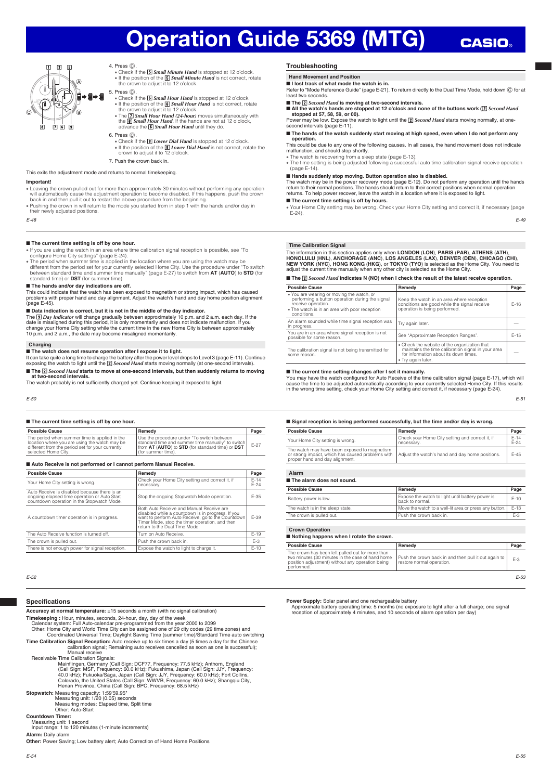## **CASIO**



4. Press © .<br>Check if the *b Small Minute Hand* is stopped at 12 o'clock. ● • If the position of the **5 Small Minute Hand** is not correct, rotate the crown to adjust it to 12 o'clock.

#### 5. Press C.

- **Check if the <b>6** Small Hour Hand is stopped at 12 o'clock. If the position of the **6** *Small Hour Hand* is not correct, rotate the crown to adjust it to 12 o'clock. own to adjust it to 12 o'clock
- The **[7] Small Hour Hand (24-hour)** moves simultaneously with the **[6] Small Hour Hand**. If the hands are not at 12 o'clock, advance the **[6] Small Hour Hand** until they do.
- 6. Press C.
	- **Example 3 Constraint Check if the** *B* Lower Dial Hand is stopped at 12 o'clock.
	- If the position of the *B Lower Dial Hand* is not correct, rotate the crown to adjust it to 12 o'clock.
- 7. Push the crown back in.

#### This exits the adjustment mode and returns to normal timekeeping.

#### **Important!**

- x Leaving the crown pulled out for more than approximately 30 minutes without performing any operation will automatically cause the adjustment operation to become disabled. If this happens, push the crown back in and then pull it out to restart the above procedure from the beginning.
- Pushing the crown in will return to the mode you started from in step 1 with the hands and/or day in their newly adjusted positions.

#### E-48

#### ■ **The current time setting is off by one hour.**

- x If you are using the watch in an area where time calibration signal reception is possible, see "To configure Home City settings" (page E-24).
- The period when summer time is applied in the location where you are using the watch may be different from the period set for your currently selected Home City. Use the procedure under "To switch between standard time a

#### ■ **The hands and/or day indications are off.**

This could indicate that the watch has been exposed to magnetism or strong impact, which has caused problems with proper hand and day alignment. Adjust the watch's hand and day home position alignment (page E-45).

#### ■ **Data indication is correct, but it is not in the middle of the day indicator.**

The [9] *Day Indicator* will change gradually between approximately 10 p.m. and 2 a.m. each day. If the<br>date is misaligned during this period, it is only momentarily and does not indicate malfunction. If you<br>change your Ho 10 p.m. and 2 a.m., the date may become misaligned momentarily.

#### **Charging**

■ The watch does not resume operation after I expose it to light.

lt can take quite a long time to charge the battery after the power level drops to Level 3 (page E-11). Continue<br>exposing the watch to light until the **[2]** *Second Hand* **starts moving normally (at one-second intervals)**. ■ The <sup>[2]</sup> Second Hand starts to move at one-second intervals, but then suddenly returns to moving

#### **at two-second intervals.**

It was second mericals:<br>The watch probably is not sufficiently charged yet. Continue keeping it exposed to light.

E-50

#### ■ **The current time setting is off by one hour.**

| <b>Possible Cause</b>                                                                                                                                                     | Remedy                                                                                                                                                                      | Page   |
|---------------------------------------------------------------------------------------------------------------------------------------------------------------------------|-----------------------------------------------------------------------------------------------------------------------------------------------------------------------------|--------|
| The period when summer time is applied in the<br>location where you are using the watch may be<br>different from the period set for your currently<br>selected Home City. | Use the procedure under "To switch between<br>standard time and summer time manually" to switch<br>from AT (AUTO) to STD (for standard time) or DST<br>l (for summer time). | $F-27$ |

#### ■ **Auto Receive is not performed or I cannot perform Manual Receive.**

| <b>Possible Cause</b>                                                                                                                      | Remedy                                                                                                                                                                                                                                | Page             |
|--------------------------------------------------------------------------------------------------------------------------------------------|---------------------------------------------------------------------------------------------------------------------------------------------------------------------------------------------------------------------------------------|------------------|
| Your Home City setting is wrong.                                                                                                           | Check your Home City setting and correct it, if<br>necessary.                                                                                                                                                                         | $E-14$<br>$E-24$ |
| Auto Receive is disabled because there is an<br>ongoing elapsed time operation or Auto Start<br>countdown operation in the Stopwatch Mode. | Stop the ongoing Stopwatch Mode operation.                                                                                                                                                                                            | $F - 35$         |
| A countdown timer operation is in progress.                                                                                                | Both Auto Receive and Manual Receive are<br>disabled while a countdown is in progress. If you<br>want to perform Auto Receive, go to the Countdown<br>Timer Mode, stop the timer operation, and then<br>return to the Dual Time Mode. | $F - 39$         |
| The Auto Receive function is turned off.                                                                                                   | Turn on Auto Receive.                                                                                                                                                                                                                 | $F-19$           |
| The crown is pulled out.                                                                                                                   | Push the crown back in.                                                                                                                                                                                                               | $E-3$            |
| There is not enough power for signal reception.                                                                                            | Expose the watch to light to charge it.                                                                                                                                                                                               | $F-10$           |

E-52

## **Specifications**

**Accuracy at normal temperature:** ±15 seconds a month (with no signal calibration)

Timekeeping : Hour, minutes, seconds, 24-hour, day, day of the week<br>Calendar system: Full Auto-calendar pre-programmed from the year 2000 to 2099<br>Other: Home City and World Time City can be assigned one of 29 city codes (2

Time Calibration Signal Reception: Auto receive up to six times a day (5 times a day for the Chinese<br>calibration signal; Remaining auto receives cancelled as soon as one is successful);<br>Manual receive<br>Receivable Time Calib

Mainflingen, Germany (Call Sign: DCF77, Frequency: 77.5 kHz); Anthorn, England<br>(Call Sign: MSF, Frequency: 60.0 kHz); Fukushima, Japan (Call Sign: JJY, Frequency:<br>40.0 kHz); Fukuoka/Saga, Japan (Call Sign: JJY, Frequency:

**Stopwatch:** Measuring capacity: 1:59'59.95"

Measuring unit: 1/20 (0.05) seconds Measuring modes: Elapsed time, Split time Other: Auto-Start

**Countdown Timer:**

Measuring unit: 1 second Input range: 1 to 120 minutes (1-minute increments)

**Alarm:** Daily alarm

**Other:** Power Saving; Low battery alert; Auto Correction of Hand Home Positions

## **Troubleshooting**

#### **Hand Movement and Position**

■ **I lost track of what mode the watch is in.**

Refer to "Mode Reference Guide" (page E-21). To return directly to the Dual Time Mode, hold down  $\copyright$  for at least two seconds.

- The *[<u>2</u>] Second Hand is moving at two-second intervals.<br>■ All the watch's hands are stopped at 12 o'clock and none of the buttons work ([<u>2</u>] <i>Second Hand*
- **stopped at 57, 58, 59, or 00).** Power may be low. Expose the watch to light until the **2** Second Hand starts moving normally, at one-

second intervals (page E-11).

■ The hands of the watch suddenly start moving at high speed, even when I do not perform any **operation.**

This could be due to any one of the following causes. In all cases, the hand movement does not indicate<br>malfunction, and should stop shortly.<br>● The watch is recovering from a sleep state (page E-13).

. The time setting is being adjusted following a successful auto time calibration signal receive operation

(page E-14).

■ **Hands suddenly stop moving. Button operation also is disabled.** 

The watch may be in the power recovery mode (page E-12). Do not perform any operation until the hands return to their normal positions. The hands should return to their correct positions when normal operation returns. To help power recover, leave the watch in a location where it is exposed to light.

#### ■ **The current time setting is off by hours.**

x Your Home City setting may be wrong. Check your Home City setting and correct it, if necessary (page E-24).

E-49

#### **Time Calibration Signal**

The information in this section applies only when LONDON (LON), PARIS (PAR), ATHENS (ATH),<br>HONOLULU (HNL), ANCHORAGE (ANC), LOS ANGELES (LAX), DENVER (DEN), CHICAGO (CHI),<br>NEW YORK (NYC), HONG KONG (HKG), or TOKYO (TYO) is

#### ■ **The <sup>[2]</sup> Second Hand indicates N (NO)** when I check the result of the latest receive operation.

| <b>Possible Cause</b>                                                                                                                                                              | Remedy                                                                                                                                                            | Page     |
|------------------------------------------------------------------------------------------------------------------------------------------------------------------------------------|-------------------------------------------------------------------------------------------------------------------------------------------------------------------|----------|
| . You are wearing or moving the watch, or<br>performing a button operation during the signal<br>receive operation.<br>. The watch is in an area with poor reception<br>conditions. | Keep the watch in an area where reception<br>conditions are good while the signal receive<br>operation is being performed.                                        | $F-16$   |
| An alarm sounded while time signal reception was<br>in progress.                                                                                                                   | Try again later.                                                                                                                                                  |          |
| You are in an area where signal reception is not<br>possible for some reason.                                                                                                      | See "Approximate Reception Ranges".                                                                                                                               | $F - 15$ |
| The calibration signal is not being transmitted for<br>some reason.                                                                                                                | • Check the website of the organization that<br>maintains the time calibration signal in your area<br>for information about its down times.<br>. Try again later. |          |

#### ■ The current time setting changes after I set it manually.

You may have the watch configured for Auto Receive of the time calibration signal (page E-17), which will<br>cause the time to be adjusted automatically according to your currently selected Home City. If this results<br>in the w

E-51

#### ■ Signal reception is being performed successfully, but the time and/or day is wrong.

| <b>Possible Cause</b>                                                                                                              | Remedy                                                        | Page               |
|------------------------------------------------------------------------------------------------------------------------------------|---------------------------------------------------------------|--------------------|
| Your Home City setting is wrong.                                                                                                   | Check your Home City setting and correct it, if<br>necessary. | $F - 14$<br>$F-24$ |
| The watch may have been exposed to magnetism<br>or strong impact, which has caused problems with<br>proper hand and day alignment. | Adjust the watch's hand and day home positions.               | $F-45$             |

**Alarm** ■ **The alarm does not sound.**

| <b>Possible Cause</b>            | Remedy                                                              | Page     |  |  |  |  |
|----------------------------------|---------------------------------------------------------------------|----------|--|--|--|--|
| Battery power is low.            | Expose the watch to light until battery power is<br>back to normal. | $F - 10$ |  |  |  |  |
| The watch is in the sleep state. | Move the watch to a well-lit area or press any button.              | $F - 13$ |  |  |  |  |
| The crown is pulled out.         | Push the crown back in.                                             | E-3      |  |  |  |  |
|                                  |                                                                     |          |  |  |  |  |

#### **Crown Operation**

#### ■ **Nothing happens when I rotate the crown.**

| <b>Possible Cause</b>                                                                                                                                                  | Remedy                                                                            | Page |
|------------------------------------------------------------------------------------------------------------------------------------------------------------------------|-----------------------------------------------------------------------------------|------|
| The crown has been left pulled out for more than<br>two minutes (30 minutes in the case of hand home<br>position adjustment) without any operation being<br>performed. | Push the crown back in and then pull it out again to<br>restore normal operation. | E-3  |
|                                                                                                                                                                        |                                                                                   | E-53 |

 **Power Supply:** Solar panel and one rechargeable battery

Approximate battery operating time: 5 months (no exposure to light after a full charge; one signal reception of approximately 4 minutes, and 10 seconds of alarm operation per day)